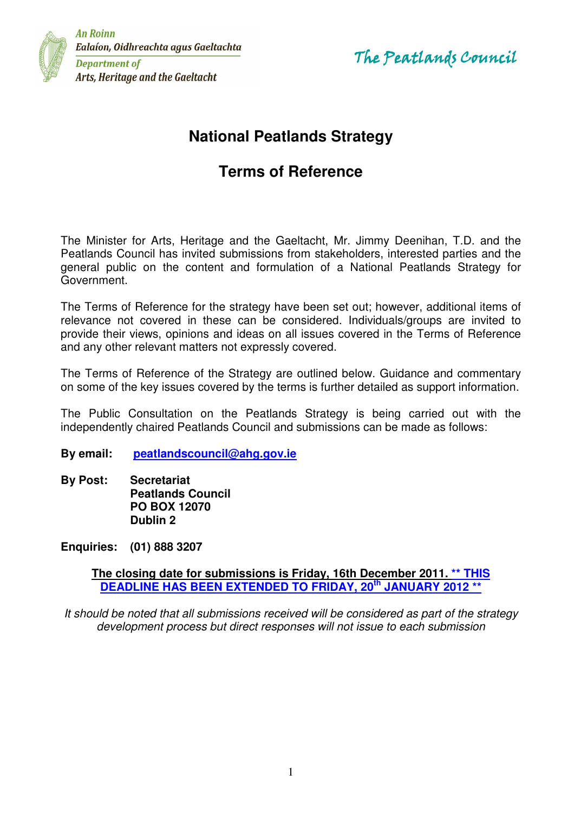

**An Roinn** Ealaíon, Oidhreachta agus Gaeltachta **Department of** Arts, Heritage and the Gaeltacht

The Peatlands Council

# **National Peatlands Strategy**

# **Terms of Reference**

The Minister for Arts, Heritage and the Gaeltacht, Mr. Jimmy Deenihan, T.D. and the Peatlands Council has invited submissions from stakeholders, interested parties and the general public on the content and formulation of a National Peatlands Strategy for Government.

The Terms of Reference for the strategy have been set out; however, additional items of relevance not covered in these can be considered. Individuals/groups are invited to provide their views, opinions and ideas on all issues covered in the Terms of Reference and any other relevant matters not expressly covered.

The Terms of Reference of the Strategy are outlined below. Guidance and commentary on some of the key issues covered by the terms is further detailed as support information.

The Public Consultation on the Peatlands Strategy is being carried out with the independently chaired Peatlands Council and submissions can be made as follows:

**By email: peatlandscouncil@ahg.gov.ie**

**By Post: Secretariat Peatlands Council PO BOX 12070 Dublin 2** 

**Enquiries: (01) 888 3207** 

**The closing date for submissions is Friday, 16th December 2011. \*\* THIS DEADLINE HAS BEEN EXTENDED TO FRIDAY, 20th JANUARY 2012 \*\***

It should be noted that all submissions received will be considered as part of the strategy development process but direct responses will not issue to each submission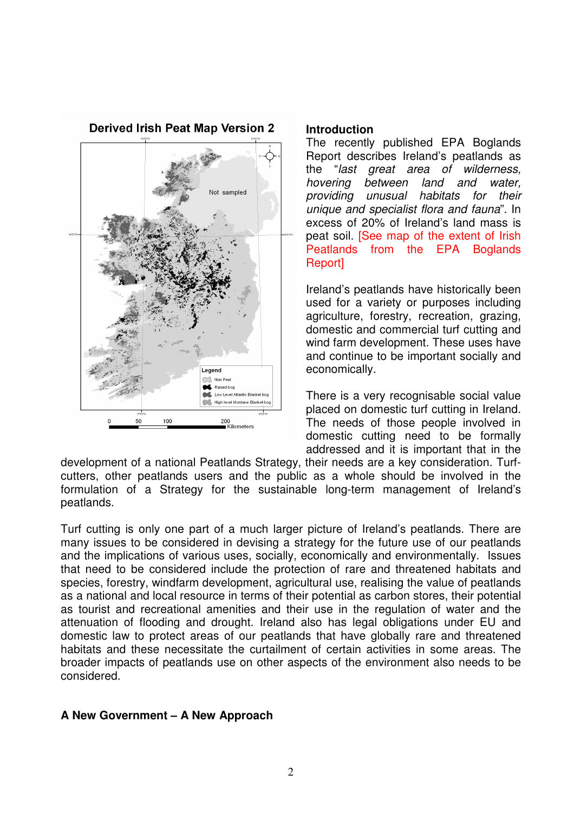**Derived Irish Peat Map Version 2** sampled Legend R Non Pea Raised bog Low Level Atlantic Blanket bog High level Montane Blanket bor 100 50 200 ,<br>Kilometers

### **Introduction**

The recently published EPA Boglands Report describes Ireland's peatlands as the "last great area of wilderness, hovering between land and water, providing unusual habitats for their unique and specialist flora and fauna". In excess of 20% of Ireland's land mass is peat soil. [See map of the extent of Irish Peatlands from the EPA Boglands Report]

Ireland's peatlands have historically been used for a variety or purposes including agriculture, forestry, recreation, grazing, domestic and commercial turf cutting and wind farm development. These uses have and continue to be important socially and economically.

There is a very recognisable social value placed on domestic turf cutting in Ireland. The needs of those people involved in domestic cutting need to be formally addressed and it is important that in the

development of a national Peatlands Strategy, their needs are a key consideration. Turfcutters, other peatlands users and the public as a whole should be involved in the formulation of a Strategy for the sustainable long-term management of Ireland's peatlands.

Turf cutting is only one part of a much larger picture of Ireland's peatlands. There are many issues to be considered in devising a strategy for the future use of our peatlands and the implications of various uses, socially, economically and environmentally. Issues that need to be considered include the protection of rare and threatened habitats and species, forestry, windfarm development, agricultural use, realising the value of peatlands as a national and local resource in terms of their potential as carbon stores, their potential as tourist and recreational amenities and their use in the regulation of water and the attenuation of flooding and drought. Ireland also has legal obligations under EU and domestic law to protect areas of our peatlands that have globally rare and threatened habitats and these necessitate the curtailment of certain activities in some areas. The broader impacts of peatlands use on other aspects of the environment also needs to be considered.

## **A New Government – A New Approach**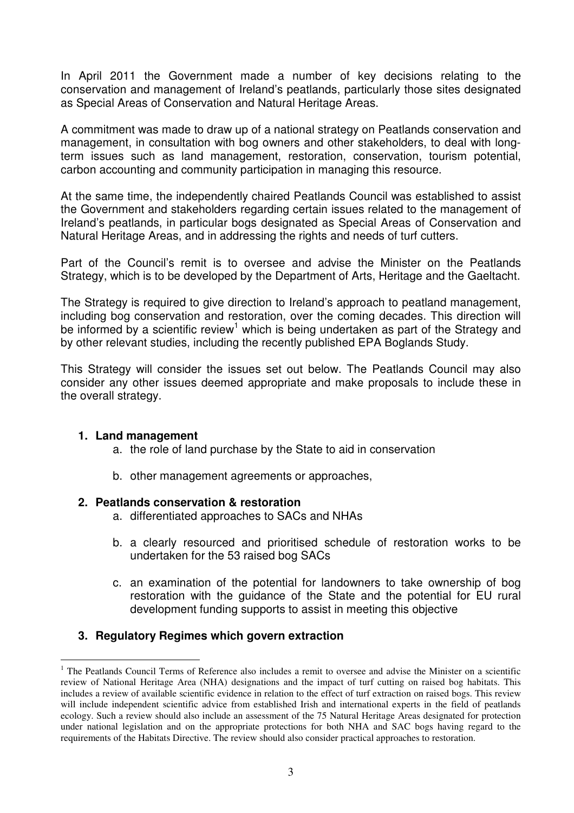In April 2011 the Government made a number of key decisions relating to the conservation and management of Ireland's peatlands, particularly those sites designated as Special Areas of Conservation and Natural Heritage Areas.

A commitment was made to draw up of a national strategy on Peatlands conservation and management, in consultation with bog owners and other stakeholders, to deal with longterm issues such as land management, restoration, conservation, tourism potential, carbon accounting and community participation in managing this resource.

At the same time, the independently chaired Peatlands Council was established to assist the Government and stakeholders regarding certain issues related to the management of Ireland's peatlands, in particular bogs designated as Special Areas of Conservation and Natural Heritage Areas, and in addressing the rights and needs of turf cutters.

Part of the Council's remit is to oversee and advise the Minister on the Peatlands Strategy, which is to be developed by the Department of Arts, Heritage and the Gaeltacht.

The Strategy is required to give direction to Ireland's approach to peatland management, including bog conservation and restoration, over the coming decades. This direction will be informed by a scientific review<sup>1</sup> which is being undertaken as part of the Strategy and by other relevant studies, including the recently published EPA Boglands Study.

This Strategy will consider the issues set out below. The Peatlands Council may also consider any other issues deemed appropriate and make proposals to include these in the overall strategy.

## **1. Land management**

- a. the role of land purchase by the State to aid in conservation
- b. other management agreements or approaches,

### **2. Peatlands conservation & restoration**

- a. differentiated approaches to SACs and NHAs
- b. a clearly resourced and prioritised schedule of restoration works to be undertaken for the 53 raised bog SACs
- c. an examination of the potential for landowners to take ownership of bog restoration with the guidance of the State and the potential for EU rural development funding supports to assist in meeting this objective

## **3. Regulatory Regimes which govern extraction**

 $\overline{a}$ <sup>1</sup> The Peatlands Council Terms of Reference also includes a remit to oversee and advise the Minister on a scientific review of National Heritage Area (NHA) designations and the impact of turf cutting on raised bog habitats. This includes a review of available scientific evidence in relation to the effect of turf extraction on raised bogs. This review will include independent scientific advice from established Irish and international experts in the field of peatlands ecology. Such a review should also include an assessment of the 75 Natural Heritage Areas designated for protection under national legislation and on the appropriate protections for both NHA and SAC bogs having regard to the requirements of the Habitats Directive. The review should also consider practical approaches to restoration.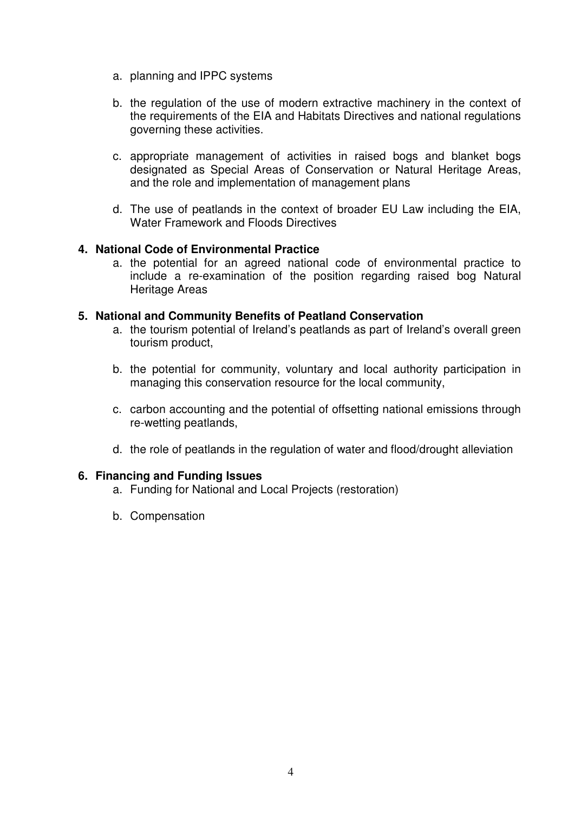- a. planning and IPPC systems
- b. the regulation of the use of modern extractive machinery in the context of the requirements of the EIA and Habitats Directives and national regulations governing these activities.
- c. appropriate management of activities in raised bogs and blanket bogs designated as Special Areas of Conservation or Natural Heritage Areas, and the role and implementation of management plans
- d. The use of peatlands in the context of broader EU Law including the EIA, Water Framework and Floods Directives

## **4. National Code of Environmental Practice**

a. the potential for an agreed national code of environmental practice to include a re-examination of the position regarding raised bog Natural Heritage Areas

## **5. National and Community Benefits of Peatland Conservation**

- a. the tourism potential of Ireland's peatlands as part of Ireland's overall green tourism product,
- b. the potential for community, voluntary and local authority participation in managing this conservation resource for the local community,
- c. carbon accounting and the potential of offsetting national emissions through re-wetting peatlands,
- d. the role of peatlands in the regulation of water and flood/drought alleviation

## **6. Financing and Funding Issues**

- a. Funding for National and Local Projects (restoration)
- b. Compensation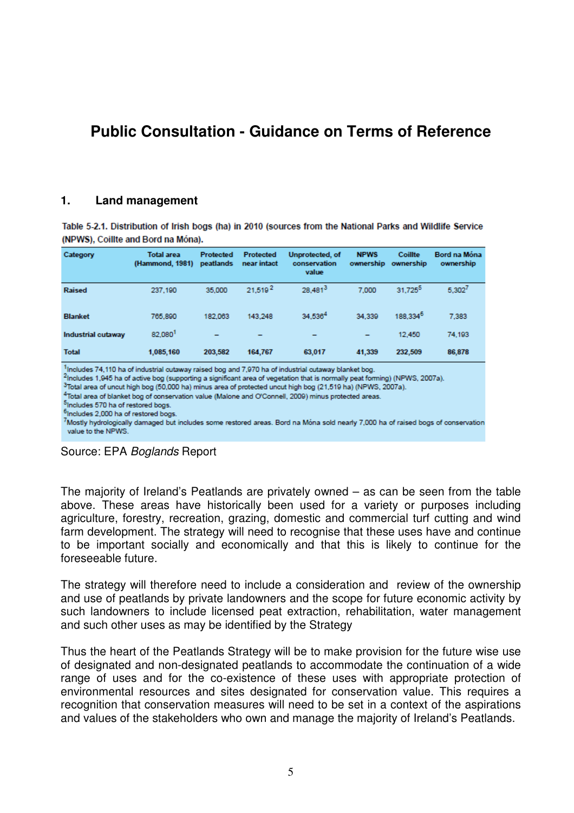## **Public Consultation - Guidance on Terms of Reference**

### **1. Land management**

Table 5-2.1. Distribution of Irish bogs (ha) in 2010 (sources from the National Parks and Wildlife Service (NPWS). Coillte and Bord na Móna).

| Category                                                                                                                                                                                                                                                                                                                                                                                                                                                                                     | <b>Total area</b><br>(Hammond, 1981) | <b>Protected</b><br>peatlands | <b>Protected</b><br>near intact | <b>Unprotected, of</b><br>conservation<br>value | <b>NPWS</b><br>ownership | <b>Coillte</b><br>ownership | Bord na Móna<br>ownership |
|----------------------------------------------------------------------------------------------------------------------------------------------------------------------------------------------------------------------------------------------------------------------------------------------------------------------------------------------------------------------------------------------------------------------------------------------------------------------------------------------|--------------------------------------|-------------------------------|---------------------------------|-------------------------------------------------|--------------------------|-----------------------------|---------------------------|
| <b>Raised</b>                                                                                                                                                                                                                                                                                                                                                                                                                                                                                | 237.190                              | 35,000                        | 21.519 <sup>2</sup>             | 28.481 <sup>3</sup>                             | 7.000                    | 31.725 <sup>5</sup>         | 5.302 <sup>7</sup>        |
| <b>Blanket</b>                                                                                                                                                                                                                                                                                                                                                                                                                                                                               | 765,890                              | 182.063                       | 143.248                         | 34.536 <sup>4</sup>                             | 34.339                   | 188.334 <sup>6</sup>        | 7,383                     |
| Industrial cutaway                                                                                                                                                                                                                                                                                                                                                                                                                                                                           | 82.080                               |                               |                                 |                                                 |                          | 12.450                      | 74,193                    |
| <b>Total</b>                                                                                                                                                                                                                                                                                                                                                                                                                                                                                 | 1.085.160                            | 203.582                       | 164,767                         | 63,017                                          | 41.339                   | 232.509                     | 86,878                    |
| -Includes 74,110 ha of industrial cutaway raised bog and 7,970 ha of industrial cutaway blanket bog.<br><sup>2</sup> Includes 1,945 ha of active bog (supporting a significant area of vegetation that is normally peat forming) (NPWS, 2007a).<br><sup>3</sup> Total area of uncut high bog (50,000 ha) minus area of protected uncut high bog (21,519 ha) (NPWS, 2007a).<br><sup>4</sup> Total area of blanket bon of conservation value (Malone and O'Connell, 2000) minus notected areas |                                      |                               |                                 |                                                 |                          |                             |                           |

5Includes 570 ha of restored bogs.

<sup>6</sup>Includes 2,000 ha of restored bogs.

7Mostly hydrologically damaged but includes some restored areas. Bord na Móna sold nearly 7,000 ha of raised bogs of conservation value to the NPWS.



The majority of Ireland's Peatlands are privately owned – as can be seen from the table above. These areas have historically been used for a variety or purposes including agriculture, forestry, recreation, grazing, domestic and commercial turf cutting and wind farm development. The strategy will need to recognise that these uses have and continue to be important socially and economically and that this is likely to continue for the foreseeable future.

The strategy will therefore need to include a consideration and review of the ownership and use of peatlands by private landowners and the scope for future economic activity by such landowners to include licensed peat extraction, rehabilitation, water management and such other uses as may be identified by the Strategy

Thus the heart of the Peatlands Strategy will be to make provision for the future wise use of designated and non-designated peatlands to accommodate the continuation of a wide range of uses and for the co-existence of these uses with appropriate protection of environmental resources and sites designated for conservation value. This requires a recognition that conservation measures will need to be set in a context of the aspirations and values of the stakeholders who own and manage the majority of Ireland's Peatlands.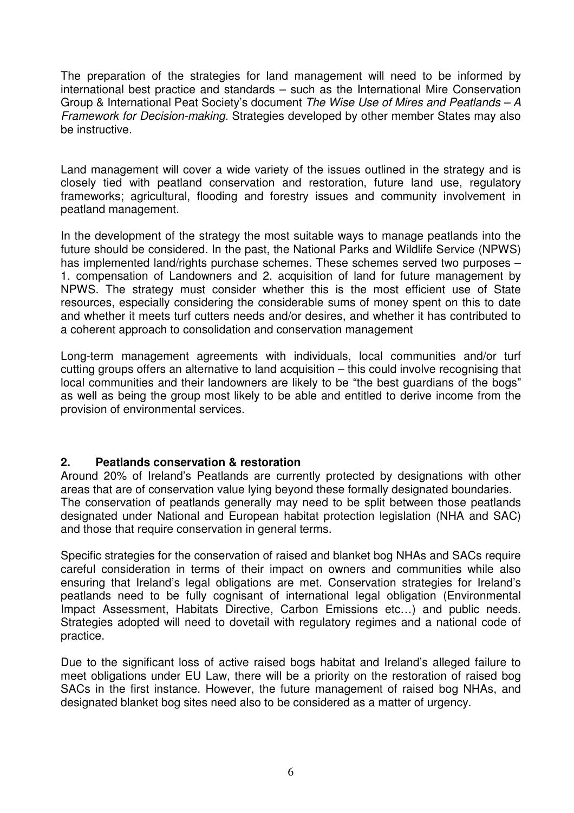The preparation of the strategies for land management will need to be informed by international best practice and standards – such as the International Mire Conservation Group & International Peat Society's document The Wise Use of Mires and Peatlands – A Framework for Decision-making. Strategies developed by other member States may also be instructive.

Land management will cover a wide variety of the issues outlined in the strategy and is closely tied with peatland conservation and restoration, future land use, regulatory frameworks; agricultural, flooding and forestry issues and community involvement in peatland management.

In the development of the strategy the most suitable ways to manage peatlands into the future should be considered. In the past, the National Parks and Wildlife Service (NPWS) has implemented land/rights purchase schemes. These schemes served two purposes – 1. compensation of Landowners and 2. acquisition of land for future management by NPWS. The strategy must consider whether this is the most efficient use of State resources, especially considering the considerable sums of money spent on this to date and whether it meets turf cutters needs and/or desires, and whether it has contributed to a coherent approach to consolidation and conservation management

Long-term management agreements with individuals, local communities and/or turf cutting groups offers an alternative to land acquisition – this could involve recognising that local communities and their landowners are likely to be "the best guardians of the bogs" as well as being the group most likely to be able and entitled to derive income from the provision of environmental services.

## **2. Peatlands conservation & restoration**

Around 20% of Ireland's Peatlands are currently protected by designations with other areas that are of conservation value lying beyond these formally designated boundaries. The conservation of peatlands generally may need to be split between those peatlands designated under National and European habitat protection legislation (NHA and SAC) and those that require conservation in general terms.

Specific strategies for the conservation of raised and blanket bog NHAs and SACs require careful consideration in terms of their impact on owners and communities while also ensuring that Ireland's legal obligations are met. Conservation strategies for Ireland's peatlands need to be fully cognisant of international legal obligation (Environmental Impact Assessment, Habitats Directive, Carbon Emissions etc…) and public needs. Strategies adopted will need to dovetail with regulatory regimes and a national code of practice.

Due to the significant loss of active raised bogs habitat and Ireland's alleged failure to meet obligations under EU Law, there will be a priority on the restoration of raised bog SACs in the first instance. However, the future management of raised bog NHAs, and designated blanket bog sites need also to be considered as a matter of urgency.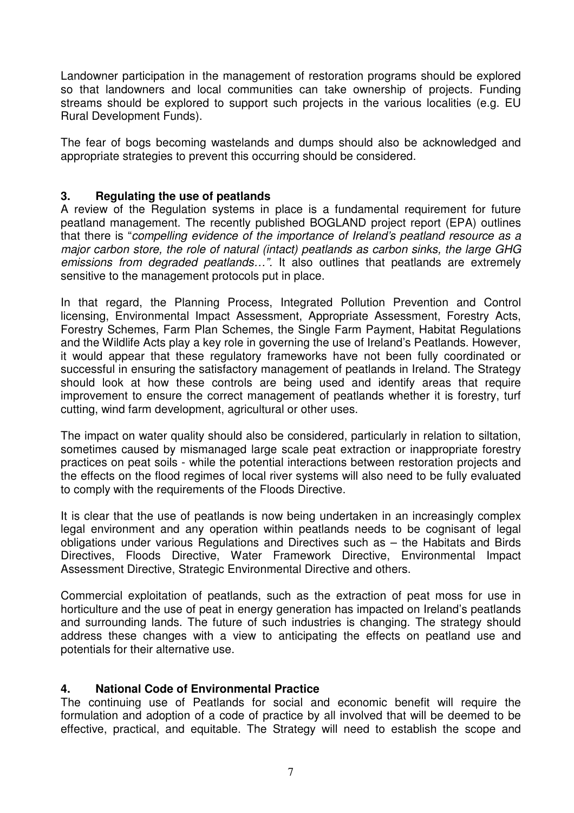Landowner participation in the management of restoration programs should be explored so that landowners and local communities can take ownership of projects. Funding streams should be explored to support such projects in the various localities (e.g. EU Rural Development Funds).

The fear of bogs becoming wastelands and dumps should also be acknowledged and appropriate strategies to prevent this occurring should be considered.

## **3. Regulating the use of peatlands**

A review of the Regulation systems in place is a fundamental requirement for future peatland management. The recently published BOGLAND project report (EPA) outlines that there is "compelling evidence of the importance of Ireland's peatland resource as a major carbon store, the role of natural (intact) peatlands as carbon sinks, the large GHG emissions from degraded peatlands...". It also outlines that peatlands are extremely sensitive to the management protocols put in place.

In that regard, the Planning Process, Integrated Pollution Prevention and Control licensing, Environmental Impact Assessment, Appropriate Assessment, Forestry Acts, Forestry Schemes, Farm Plan Schemes, the Single Farm Payment, Habitat Regulations and the Wildlife Acts play a key role in governing the use of Ireland's Peatlands. However, it would appear that these regulatory frameworks have not been fully coordinated or successful in ensuring the satisfactory management of peatlands in Ireland. The Strategy should look at how these controls are being used and identify areas that require improvement to ensure the correct management of peatlands whether it is forestry, turf cutting, wind farm development, agricultural or other uses.

The impact on water quality should also be considered, particularly in relation to siltation, sometimes caused by mismanaged large scale peat extraction or inappropriate forestry practices on peat soils - while the potential interactions between restoration projects and the effects on the flood regimes of local river systems will also need to be fully evaluated to comply with the requirements of the Floods Directive.

It is clear that the use of peatlands is now being undertaken in an increasingly complex legal environment and any operation within peatlands needs to be cognisant of legal obligations under various Regulations and Directives such as – the Habitats and Birds Directives, Floods Directive, Water Framework Directive, Environmental Impact Assessment Directive, Strategic Environmental Directive and others.

Commercial exploitation of peatlands, such as the extraction of peat moss for use in horticulture and the use of peat in energy generation has impacted on Ireland's peatlands and surrounding lands. The future of such industries is changing. The strategy should address these changes with a view to anticipating the effects on peatland use and potentials for their alternative use.

## **4. National Code of Environmental Practice**

The continuing use of Peatlands for social and economic benefit will require the formulation and adoption of a code of practice by all involved that will be deemed to be effective, practical, and equitable. The Strategy will need to establish the scope and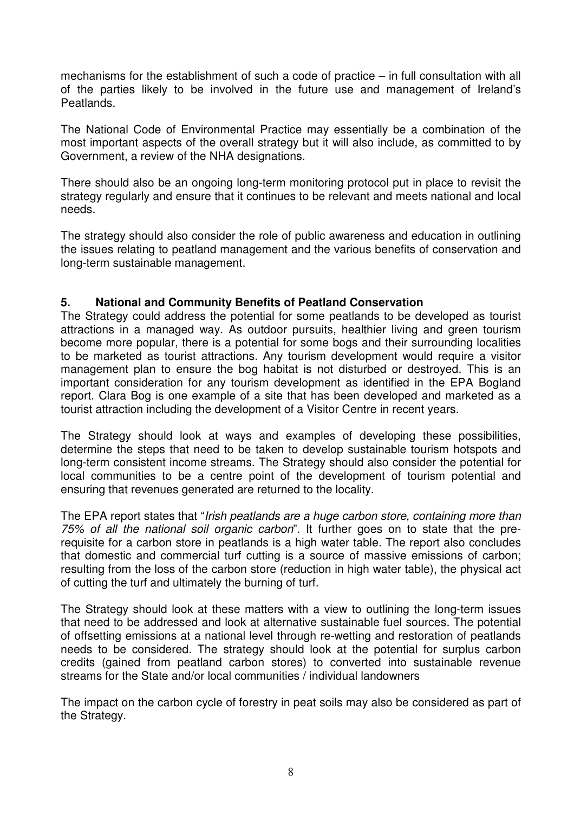mechanisms for the establishment of such a code of practice – in full consultation with all of the parties likely to be involved in the future use and management of Ireland's Peatlands.

The National Code of Environmental Practice may essentially be a combination of the most important aspects of the overall strategy but it will also include, as committed to by Government, a review of the NHA designations.

There should also be an ongoing long-term monitoring protocol put in place to revisit the strategy regularly and ensure that it continues to be relevant and meets national and local needs.

The strategy should also consider the role of public awareness and education in outlining the issues relating to peatland management and the various benefits of conservation and long-term sustainable management.

## **5. National and Community Benefits of Peatland Conservation**

The Strategy could address the potential for some peatlands to be developed as tourist attractions in a managed way. As outdoor pursuits, healthier living and green tourism become more popular, there is a potential for some bogs and their surrounding localities to be marketed as tourist attractions. Any tourism development would require a visitor management plan to ensure the bog habitat is not disturbed or destroyed. This is an important consideration for any tourism development as identified in the EPA Bogland report. Clara Bog is one example of a site that has been developed and marketed as a tourist attraction including the development of a Visitor Centre in recent years.

The Strategy should look at ways and examples of developing these possibilities, determine the steps that need to be taken to develop sustainable tourism hotspots and long-term consistent income streams. The Strategy should also consider the potential for local communities to be a centre point of the development of tourism potential and ensuring that revenues generated are returned to the locality.

The EPA report states that "Irish peatlands are a huge carbon store, containing more than 75% of all the national soil organic carbon". It further goes on to state that the prerequisite for a carbon store in peatlands is a high water table. The report also concludes that domestic and commercial turf cutting is a source of massive emissions of carbon; resulting from the loss of the carbon store (reduction in high water table), the physical act of cutting the turf and ultimately the burning of turf.

The Strategy should look at these matters with a view to outlining the long-term issues that need to be addressed and look at alternative sustainable fuel sources. The potential of offsetting emissions at a national level through re-wetting and restoration of peatlands needs to be considered. The strategy should look at the potential for surplus carbon credits (gained from peatland carbon stores) to converted into sustainable revenue streams for the State and/or local communities / individual landowners

The impact on the carbon cycle of forestry in peat soils may also be considered as part of the Strategy.